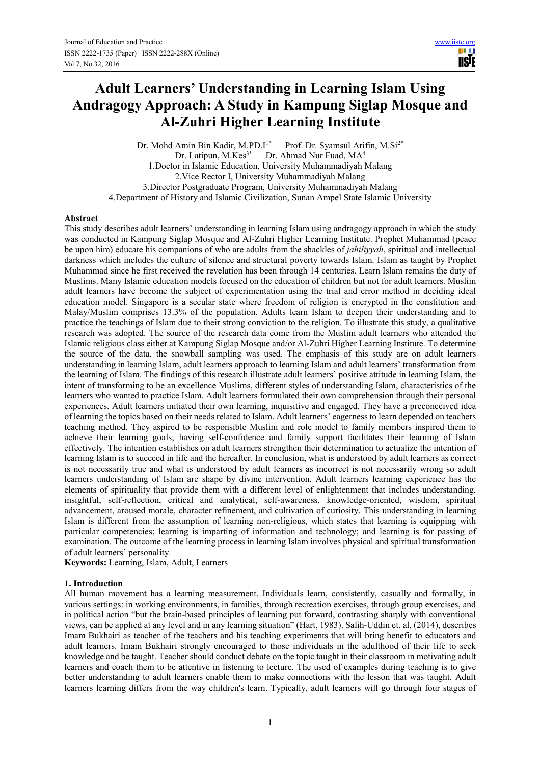**USIE** 

# **Adult Learners' Understanding in Learning Islam Using Andragogy Approach: A Study in Kampung Siglap Mosque and Al-Zuhri Higher Learning Institute**

Dr. Mohd Amin Bin Kadir, M.PD.I<sup>1\*</sup> Prof. Dr. Syamsul Arifin, M.Si<sup>2\*</sup> Dr. Latipun, M.Kes<sup>3\*</sup> Dr. Ahmad Nur Fuad, MA<sup>4</sup> 1.Doctor in Islamic Education, University Muhammadiyah Malang 2.Vice Rector I, University Muhammadiyah Malang 3.Director Postgraduate Program, University Muhammadiyah Malang 4.Department of History and Islamic Civilization, Sunan Ampel State Islamic University

## **Abstract**

This study describes adult learners' understanding in learning Islam using andragogy approach in which the study was conducted in Kampung Siglap Mosque and Al-Zuhri Higher Learning Institute. Prophet Muhammad (peace be upon him) educate his companions of who are adults from the shackles of *jahiliyyah*, spiritual and intellectual darkness which includes the culture of silence and structural poverty towards Islam. Islam as taught by Prophet Muhammad since he first received the revelation has been through 14 centuries. Learn Islam remains the duty of Muslims. Many Islamic education models focused on the education of children but not for adult learners. Muslim adult learners have become the subject of experimentation using the trial and error method in deciding ideal education model. Singapore is a secular state where freedom of religion is encrypted in the constitution and Malay/Muslim comprises 13.3% of the population. Adults learn Islam to deepen their understanding and to practice the teachings of Islam due to their strong conviction to the religion. To illustrate this study, a qualitative research was adopted. The source of the research data come from the Muslim adult learners who attended the Islamic religious class either at Kampung Siglap Mosque and/or Al-Zuhri Higher Learning Institute. To determine the source of the data, the snowball sampling was used. The emphasis of this study are on adult learners understanding in learning Islam, adult learners approach to learning Islam and adult learners' transformation from the learning of Islam. The findings of this research illustrate adult learners' positive attitude in learning Islam, the intent of transforming to be an excellence Muslims, different styles of understanding Islam, characteristics of the learners who wanted to practice Islam. Adult learners formulated their own comprehension through their personal experiences. Adult learners initiated their own learning, inquisitive and engaged. They have a preconceived idea of learning the topics based on their needs related to Islam. Adult learners' eagerness to learn depended on teachers teaching method. They aspired to be responsible Muslim and role model to family members inspired them to achieve their learning goals; having self-confidence and family support facilitates their learning of Islam effectively. The intention establishes on adult learners strengthen their determination to actualize the intention of learning Islam is to succeed in life and the hereafter. In conclusion, what is understood by adult learners as correct is not necessarily true and what is understood by adult learners as incorrect is not necessarily wrong so adult learners understanding of Islam are shape by divine intervention. Adult learners learning experience has the elements of spirituality that provide them with a different level of enlightenment that includes understanding, insightful, self-reflection, critical and analytical, self-awareness, knowledge-oriented, wisdom, spiritual advancement, aroused morale, character refinement, and cultivation of curiosity. This understanding in learning Islam is different from the assumption of learning non-religious, which states that learning is equipping with particular competencies; learning is imparting of information and technology; and learning is for passing of examination. The outcome of the learning process in learning Islam involves physical and spiritual transformation of adult learners' personality.

**Keywords:** Learning, Islam, Adult, Learners

## **1. Introduction**

All human movement has a learning measurement. Individuals learn, consistently, casually and formally, in various settings: in working environments, in families, through recreation exercises, through group exercises, and in political action "but the brain-based principles of learning put forward, contrasting sharply with conventional views, can be applied at any level and in any learning situation" (Hart, 1983). Salih-Uddin et. al. (2014), describes Imam Bukhairi as teacher of the teachers and his teaching experiments that will bring benefit to educators and adult learners. Imam Bukhairi strongly encouraged to those individuals in the adulthood of their life to seek knowledge and be taught. Teacher should conduct debate on the topic taught in their classroom in motivating adult learners and coach them to be attentive in listening to lecture. The used of examples during teaching is to give better understanding to adult learners enable them to make connections with the lesson that was taught. Adult learners learning differs from the way children's learn. Typically, adult learners will go through four stages of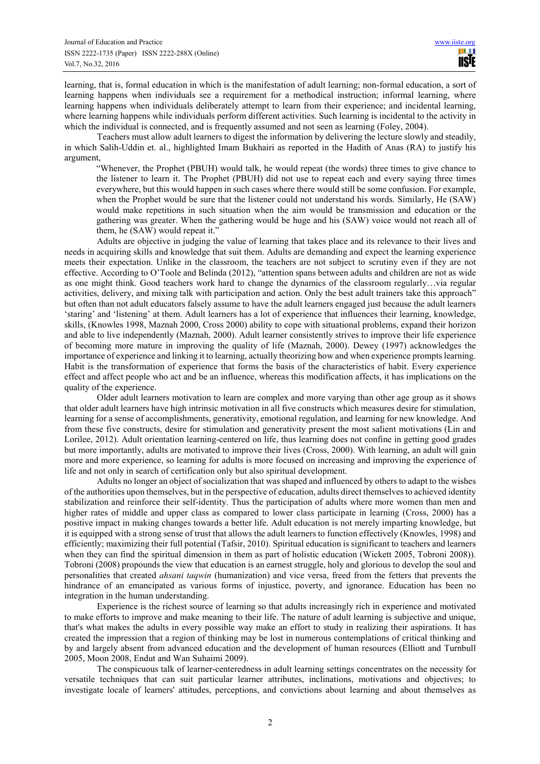learning, that is, formal education in which is the manifestation of adult learning; non-formal education, a sort of learning happens when individuals see a requirement for a methodical instruction; informal learning, where learning happens when individuals deliberately attempt to learn from their experience; and incidental learning, where learning happens while individuals perform different activities. Such learning is incidental to the activity in which the individual is connected, and is frequently assumed and not seen as learning (Foley, 2004).

Teachers must allow adult learners to digest the information by delivering the lecture slowly and steadily, in which Salih-Uddin et. al., highlighted Imam Bukhairi as reported in the Hadith of Anas (RA) to justify his argument,

"Whenever, the Prophet (PBUH) would talk, he would repeat (the words) three times to give chance to the listener to learn it. The Prophet (PBUH) did not use to repeat each and every saying three times everywhere, but this would happen in such cases where there would still be some confusion. For example, when the Prophet would be sure that the listener could not understand his words. Similarly, He (SAW) would make repetitions in such situation when the aim would be transmission and education or the gathering was greater. When the gathering would be huge and his (SAW) voice would not reach all of them, he (SAW) would repeat it."

Adults are objective in judging the value of learning that takes place and its relevance to their lives and needs in acquiring skills and knowledge that suit them. Adults are demanding and expect the learning experience meets their expectation. Unlike in the classroom, the teachers are not subject to scrutiny even if they are not effective. According to O'Toole and Belinda (2012), "attention spans between adults and children are not as wide as one might think. Good teachers work hard to change the dynamics of the classroom regularly…via regular activities, delivery, and mixing talk with participation and action. Only the best adult trainers take this approach" but often than not adult educators falsely assume to have the adult learners engaged just because the adult learners 'staring' and 'listening' at them. Adult learners has a lot of experience that influences their learning, knowledge, skills, (Knowles 1998, Maznah 2000, Cross 2000) ability to cope with situational problems, expand their horizon and able to live independently (Maznah, 2000). Adult learner consistently strives to improve their life experience of becoming more mature in improving the quality of life (Maznah, 2000). Dewey (1997) acknowledges the importance of experience and linking it to learning, actually theorizing how and when experience prompts learning. Habit is the transformation of experience that forms the basis of the characteristics of habit. Every experience effect and affect people who act and be an influence, whereas this modification affects, it has implications on the quality of the experience.

Older adult learners motivation to learn are complex and more varying than other age group as it shows that older adult learners have high intrinsic motivation in all five constructs which measures desire for stimulation, learning for a sense of accomplishments, generativity, emotional regulation, and learning for new knowledge. And from these five constructs, desire for stimulation and generativity present the most salient motivations (Lin and Lorilee, 2012). Adult orientation learning-centered on life, thus learning does not confine in getting good grades but more importantly, adults are motivated to improve their lives (Cross, 2000). With learning, an adult will gain more and more experience, so learning for adults is more focused on increasing and improving the experience of life and not only in search of certification only but also spiritual development.

Adults no longer an object of socialization that was shaped and influenced by others to adapt to the wishes of the authorities upon themselves, but in the perspective of education, adults direct themselves to achieved identity stabilization and reinforce their self-identity. Thus the participation of adults where more women than men and higher rates of middle and upper class as compared to lower class participate in learning (Cross, 2000) has a positive impact in making changes towards a better life. Adult education is not merely imparting knowledge, but it is equipped with a strong sense of trust that allows the adult learners to function effectively (Knowles, 1998) and efficiently; maximizing their full potential (Tafsir, 2010). Spiritual education is significant to teachers and learners when they can find the spiritual dimension in them as part of holistic education (Wickett 2005, Tobroni 2008)). Tobroni (2008) propounds the view that education is an earnest struggle, holy and glorious to develop the soul and personalities that created *ahsani taqwin* (humanization) and vice versa, freed from the fetters that prevents the hindrance of an emancipated as various forms of injustice, poverty, and ignorance. Education has been no integration in the human understanding.

Experience is the richest source of learning so that adults increasingly rich in experience and motivated to make efforts to improve and make meaning to their life. The nature of adult learning is subjective and unique, that's what makes the adults in every possible way make an effort to study in realizing their aspirations. It has created the impression that a region of thinking may be lost in numerous contemplations of critical thinking and by and largely absent from advanced education and the development of human resources (Elliott and Turnbull 2005, Moon 2008, Endut and Wan Suhaimi 2009).

The conspicuous talk of learner-centeredness in adult learning settings concentrates on the necessity for versatile techniques that can suit particular learner attributes, inclinations, motivations and objectives; to investigate locale of learners' attitudes, perceptions, and convictions about learning and about themselves as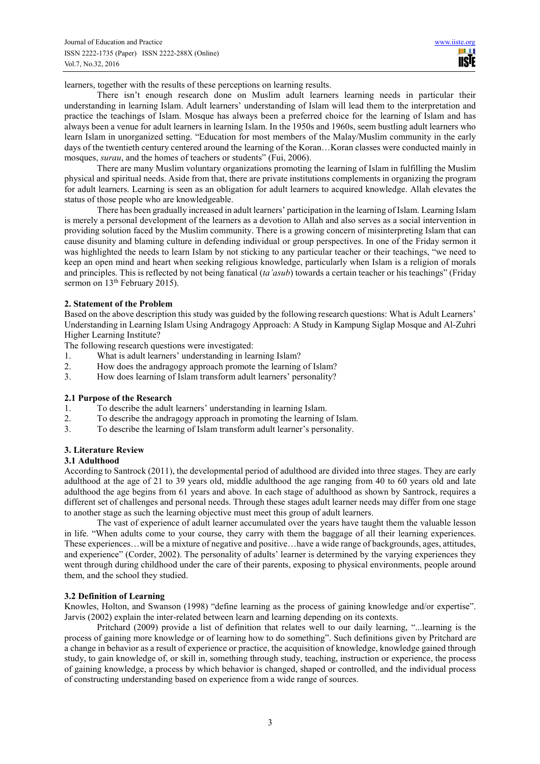learners, together with the results of these perceptions on learning results.

There isn't enough research done on Muslim adult learners learning needs in particular their understanding in learning Islam. Adult learners' understanding of Islam will lead them to the interpretation and practice the teachings of Islam. Mosque has always been a preferred choice for the learning of Islam and has always been a venue for adult learners in learning Islam. In the 1950s and 1960s, seem bustling adult learners who learn Islam in unorganized setting. "Education for most members of the Malay/Muslim community in the early days of the twentieth century centered around the learning of the Koran…Koran classes were conducted mainly in mosques, *surau*, and the homes of teachers or students" (Fui, 2006).

There are many Muslim voluntary organizations promoting the learning of Islam in fulfilling the Muslim physical and spiritual needs. Aside from that, there are private institutions complements in organizing the program for adult learners. Learning is seen as an obligation for adult learners to acquired knowledge. Allah elevates the status of those people who are knowledgeable.

There has been gradually increased in adult learners' participation in the learning of Islam. Learning Islam is merely a personal development of the learners as a devotion to Allah and also serves as a social intervention in providing solution faced by the Muslim community. There is a growing concern of misinterpreting Islam that can cause disunity and blaming culture in defending individual or group perspectives. In one of the Friday sermon it was highlighted the needs to learn Islam by not sticking to any particular teacher or their teachings, "we need to keep an open mind and heart when seeking religious knowledge, particularly when Islam is a religion of morals and principles. This is reflected by not being fanatical (*ta'asub*) towards a certain teacher or his teachings" (Friday sermon on 13<sup>th</sup> February 2015).

## **2. Statement of the Problem**

Based on the above description this study was guided by the following research questions: What is Adult Learners' Understanding in Learning Islam Using Andragogy Approach: A Study in Kampung Siglap Mosque and Al-Zuhri Higher Learning Institute?

The following research questions were investigated:

- 1. What is adult learners' understanding in learning Islam?
- 2. How does the andragogy approach promote the learning of Islam?<br>How does learning of Islam transform adult learners' personality?
- 3. How does learning of Islam transform adult learners' personality?

## **2.1 Purpose of the Research**

- 
- 1. To describe the adult learners' understanding in learning Islam.<br>2. To describe the andragogy approach in promoting the learning of To describe the andragogy approach in promoting the learning of Islam.
- 3. To describe the learning of Islam transform adult learner's personality.

# **3. Literature Review**

## **3.1 Adulthood**

According to Santrock (2011), the developmental period of adulthood are divided into three stages. They are early adulthood at the age of 21 to 39 years old, middle adulthood the age ranging from 40 to 60 years old and late adulthood the age begins from 61 years and above. In each stage of adulthood as shown by Santrock, requires a different set of challenges and personal needs. Through these stages adult learner needs may differ from one stage to another stage as such the learning objective must meet this group of adult learners.

The vast of experience of adult learner accumulated over the years have taught them the valuable lesson in life. "When adults come to your course, they carry with them the baggage of all their learning experiences. These experiences…will be a mixture of negative and positive…have a wide range of backgrounds, ages, attitudes, and experience" (Corder, 2002). The personality of adults' learner is determined by the varying experiences they went through during childhood under the care of their parents, exposing to physical environments, people around them, and the school they studied.

# **3.2 Definition of Learning**

Knowles, Holton, and Swanson (1998) "define learning as the process of gaining knowledge and/or expertise". Jarvis (2002) explain the inter-related between learn and learning depending on its contexts.

Pritchard (2009) provide a list of definition that relates well to our daily learning, "...learning is the process of gaining more knowledge or of learning how to do something". Such definitions given by Pritchard are a change in behavior as a result of experience or practice, the acquisition of knowledge, knowledge gained through study, to gain knowledge of, or skill in, something through study, teaching, instruction or experience, the process of gaining knowledge, a process by which behavior is changed, shaped or controlled, and the individual process of constructing understanding based on experience from a wide range of sources.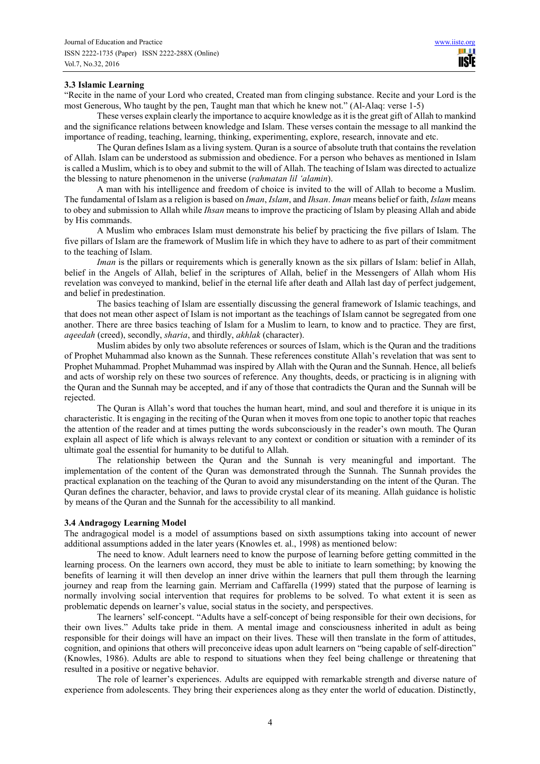## **3.3 Islamic Learning**

"Recite in the name of your Lord who created, Created man from clinging substance. Recite and your Lord is the most Generous, Who taught by the pen, Taught man that which he knew not." (Al-Alaq: verse 1-5)

These verses explain clearly the importance to acquire knowledge as it is the great gift of Allah to mankind and the significance relations between knowledge and Islam. These verses contain the message to all mankind the importance of reading, teaching, learning, thinking, experimenting, explore, research, innovate and etc.

The Quran defines Islam as a living system. Quran is a source of absolute truth that contains the revelation of Allah. Islam can be understood as submission and obedience. For a person who behaves as mentioned in Islam is called a Muslim, which is to obey and submit to the will of Allah. The teaching of Islam was directed to actualize the blessing to nature phenomenon in the universe (*rahmatan lil 'alamin*).

A man with his intelligence and freedom of choice is invited to the will of Allah to become a Muslim. The fundamental of Islam as a religion is based on *Iman*, *Islam*, and *Ihsan*. *Iman* means belief or faith, *Islam* means to obey and submission to Allah while *Ihsan* means to improve the practicing of Islam by pleasing Allah and abide by His commands.

A Muslim who embraces Islam must demonstrate his belief by practicing the five pillars of Islam. The five pillars of Islam are the framework of Muslim life in which they have to adhere to as part of their commitment to the teaching of Islam.

*Iman* is the pillars or requirements which is generally known as the six pillars of Islam: belief in Allah, belief in the Angels of Allah, belief in the scriptures of Allah, belief in the Messengers of Allah whom His revelation was conveyed to mankind, belief in the eternal life after death and Allah last day of perfect judgement, and belief in predestination.

The basics teaching of Islam are essentially discussing the general framework of Islamic teachings, and that does not mean other aspect of Islam is not important as the teachings of Islam cannot be segregated from one another. There are three basics teaching of Islam for a Muslim to learn, to know and to practice. They are first, *aqeedah* (creed), secondly, *sharia*, and thirdly, *akhlak* (character).

Muslim abides by only two absolute references or sources of Islam, which is the Quran and the traditions of Prophet Muhammad also known as the Sunnah. These references constitute Allah's revelation that was sent to Prophet Muhammad. Prophet Muhammad was inspired by Allah with the Quran and the Sunnah. Hence, all beliefs and acts of worship rely on these two sources of reference. Any thoughts, deeds, or practicing is in aligning with the Quran and the Sunnah may be accepted, and if any of those that contradicts the Quran and the Sunnah will be rejected.

The Quran is Allah's word that touches the human heart, mind, and soul and therefore it is unique in its characteristic. It is engaging in the reciting of the Quran when it moves from one topic to another topic that reaches the attention of the reader and at times putting the words subconsciously in the reader's own mouth. The Quran explain all aspect of life which is always relevant to any context or condition or situation with a reminder of its ultimate goal the essential for humanity to be dutiful to Allah.

The relationship between the Quran and the Sunnah is very meaningful and important. The implementation of the content of the Quran was demonstrated through the Sunnah. The Sunnah provides the practical explanation on the teaching of the Quran to avoid any misunderstanding on the intent of the Quran. The Quran defines the character, behavior, and laws to provide crystal clear of its meaning. Allah guidance is holistic by means of the Quran and the Sunnah for the accessibility to all mankind.

# **3.4 Andragogy Learning Model**

The andragogical model is a model of assumptions based on sixth assumptions taking into account of newer additional assumptions added in the later years (Knowles et. al., 1998) as mentioned below:

The need to know. Adult learners need to know the purpose of learning before getting committed in the learning process. On the learners own accord, they must be able to initiate to learn something; by knowing the benefits of learning it will then develop an inner drive within the learners that pull them through the learning journey and reap from the learning gain. Merriam and Caffarella (1999) stated that the purpose of learning is normally involving social intervention that requires for problems to be solved. To what extent it is seen as problematic depends on learner's value, social status in the society, and perspectives.

The learners' self-concept. "Adults have a self-concept of being responsible for their own decisions, for their own lives." Adults take pride in them. A mental image and consciousness inherited in adult as being responsible for their doings will have an impact on their lives. These will then translate in the form of attitudes, cognition, and opinions that others will preconceive ideas upon adult learners on "being capable of self-direction" (Knowles, 1986). Adults are able to respond to situations when they feel being challenge or threatening that resulted in a positive or negative behavior.

The role of learner's experiences. Adults are equipped with remarkable strength and diverse nature of experience from adolescents. They bring their experiences along as they enter the world of education. Distinctly,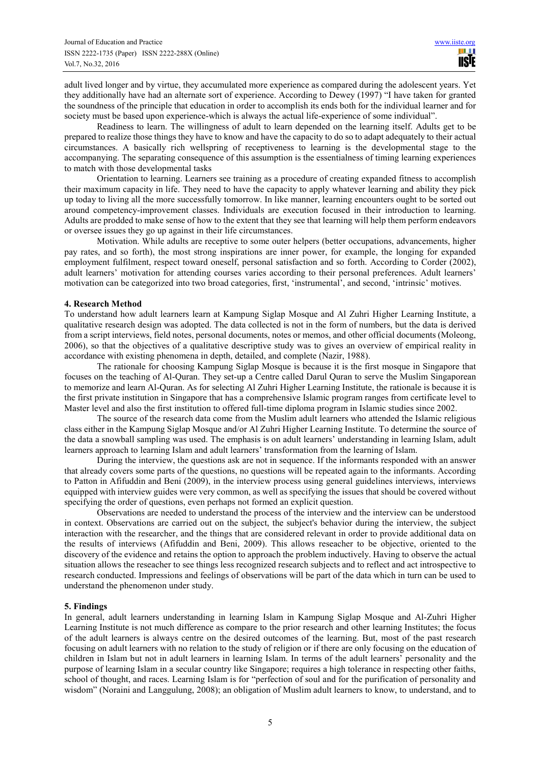adult lived longer and by virtue, they accumulated more experience as compared during the adolescent years. Yet they additionally have had an alternate sort of experience. According to Dewey (1997) "I have taken for granted the soundness of the principle that education in order to accomplish its ends both for the individual learner and for society must be based upon experience-which is always the actual life-experience of some individual".

Readiness to learn. The willingness of adult to learn depended on the learning itself. Adults get to be prepared to realize those things they have to know and have the capacity to do so to adapt adequately to their actual circumstances. A basically rich wellspring of receptiveness to learning is the developmental stage to the accompanying. The separating consequence of this assumption is the essentialness of timing learning experiences to match with those developmental tasks

Orientation to learning. Learners see training as a procedure of creating expanded fitness to accomplish their maximum capacity in life. They need to have the capacity to apply whatever learning and ability they pick up today to living all the more successfully tomorrow. In like manner, learning encounters ought to be sorted out around competency-improvement classes. Individuals are execution focused in their introduction to learning. Adults are prodded to make sense of how to the extent that they see that learning will help them perform endeavors or oversee issues they go up against in their life circumstances.

Motivation. While adults are receptive to some outer helpers (better occupations, advancements, higher pay rates, and so forth), the most strong inspirations are inner power, for example, the longing for expanded employment fulfilment, respect toward oneself, personal satisfaction and so forth. According to Corder (2002), adult learners' motivation for attending courses varies according to their personal preferences. Adult learners' motivation can be categorized into two broad categories, first, 'instrumental', and second, 'intrinsic' motives.

## **4. Research Method**

To understand how adult learners learn at Kampung Siglap Mosque and Al Zuhri Higher Learning Institute, a qualitative research design was adopted. The data collected is not in the form of numbers, but the data is derived from a script interviews, field notes, personal documents, notes or memos, and other official documents (Moleong, 2006), so that the objectives of a qualitative descriptive study was to gives an overview of empirical reality in accordance with existing phenomena in depth, detailed, and complete (Nazir, 1988).

The rationale for choosing Kampung Siglap Mosque is because it is the first mosque in Singapore that focuses on the teaching of Al-Quran. They set-up a Centre called Darul Quran to serve the Muslim Singaporean to memorize and learn Al-Quran. As for selecting Al Zuhri Higher Learning Institute, the rationale is because it is the first private institution in Singapore that has a comprehensive Islamic program ranges from certificate level to Master level and also the first institution to offered full-time diploma program in Islamic studies since 2002.

The source of the research data come from the Muslim adult learners who attended the Islamic religious class either in the Kampung Siglap Mosque and/or Al Zuhri Higher Learning Institute. To determine the source of the data a snowball sampling was used. The emphasis is on adult learners' understanding in learning Islam, adult learners approach to learning Islam and adult learners' transformation from the learning of Islam.

During the interview, the questions ask are not in sequence. If the informants responded with an answer that already covers some parts of the questions, no questions will be repeated again to the informants. According to Patton in Afifuddin and Beni (2009), in the interview process using general guidelines interviews, interviews equipped with interview guides were very common, as well as specifying the issues that should be covered without specifying the order of questions, even perhaps not formed an explicit question.

Observations are needed to understand the process of the interview and the interview can be understood in context. Observations are carried out on the subject, the subject's behavior during the interview, the subject interaction with the researcher, and the things that are considered relevant in order to provide additional data on the results of interviews (Afifuddin and Beni, 2009). This allows reseacher to be objective, oriented to the discovery of the evidence and retains the option to approach the problem inductively. Having to observe the actual situation allows the reseacher to see things less recognized research subjects and to reflect and act introspective to research conducted. Impressions and feelings of observations will be part of the data which in turn can be used to understand the phenomenon under study.

## **5. Findings**

In general, adult learners understanding in learning Islam in Kampung Siglap Mosque and Al-Zuhri Higher Learning Institute is not much difference as compare to the prior research and other learning Institutes; the focus of the adult learners is always centre on the desired outcomes of the learning. But, most of the past research focusing on adult learners with no relation to the study of religion or if there are only focusing on the education of children in Islam but not in adult learners in learning Islam. In terms of the adult learners' personality and the purpose of learning Islam in a secular country like Singapore; requires a high tolerance in respecting other faiths, school of thought, and races. Learning Islam is for "perfection of soul and for the purification of personality and wisdom" (Noraini and Langgulung, 2008); an obligation of Muslim adult learners to know, to understand, and to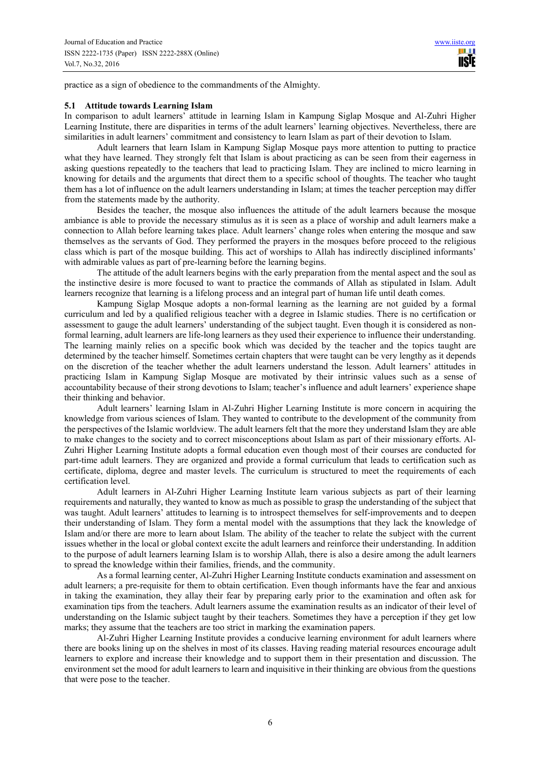practice as a sign of obedience to the commandments of the Almighty.

## **5.1 Attitude towards Learning Islam**

In comparison to adult learners' attitude in learning Islam in Kampung Siglap Mosque and Al-Zuhri Higher Learning Institute, there are disparities in terms of the adult learners' learning objectives. Nevertheless, there are similarities in adult learners' commitment and consistency to learn Islam as part of their devotion to Islam.

Adult learners that learn Islam in Kampung Siglap Mosque pays more attention to putting to practice what they have learned. They strongly felt that Islam is about practicing as can be seen from their eagerness in asking questions repeatedly to the teachers that lead to practicing Islam. They are inclined to micro learning in knowing for details and the arguments that direct them to a specific school of thoughts. The teacher who taught them has a lot of influence on the adult learners understanding in Islam; at times the teacher perception may differ from the statements made by the authority.

Besides the teacher, the mosque also influences the attitude of the adult learners because the mosque ambiance is able to provide the necessary stimulus as it is seen as a place of worship and adult learners make a connection to Allah before learning takes place. Adult learners' change roles when entering the mosque and saw themselves as the servants of God. They performed the prayers in the mosques before proceed to the religious class which is part of the mosque building. This act of worships to Allah has indirectly disciplined informants' with admirable values as part of pre-learning before the learning begins.

The attitude of the adult learners begins with the early preparation from the mental aspect and the soul as the instinctive desire is more focused to want to practice the commands of Allah as stipulated in Islam. Adult learners recognize that learning is a lifelong process and an integral part of human life until death comes.

Kampung Siglap Mosque adopts a non-formal learning as the learning are not guided by a formal curriculum and led by a qualified religious teacher with a degree in Islamic studies. There is no certification or assessment to gauge the adult learners' understanding of the subject taught. Even though it is considered as nonformal learning, adult learners are life-long learners as they used their experience to influence their understanding. The learning mainly relies on a specific book which was decided by the teacher and the topics taught are determined by the teacher himself. Sometimes certain chapters that were taught can be very lengthy as it depends on the discretion of the teacher whether the adult learners understand the lesson. Adult learners' attitudes in practicing Islam in Kampung Siglap Mosque are motivated by their intrinsic values such as a sense of accountability because of their strong devotions to Islam; teacher's influence and adult learners' experience shape their thinking and behavior.

Adult learners' learning Islam in Al-Zuhri Higher Learning Institute is more concern in acquiring the knowledge from various sciences of Islam. They wanted to contribute to the development of the community from the perspectives of the Islamic worldview. The adult learners felt that the more they understand Islam they are able to make changes to the society and to correct misconceptions about Islam as part of their missionary efforts. Al-Zuhri Higher Learning Institute adopts a formal education even though most of their courses are conducted for part-time adult learners. They are organized and provide a formal curriculum that leads to certification such as certificate, diploma, degree and master levels. The curriculum is structured to meet the requirements of each certification level.

Adult learners in Al-Zuhri Higher Learning Institute learn various subjects as part of their learning requirements and naturally, they wanted to know as much as possible to grasp the understanding of the subject that was taught. Adult learners' attitudes to learning is to introspect themselves for self-improvements and to deepen their understanding of Islam. They form a mental model with the assumptions that they lack the knowledge of Islam and/or there are more to learn about Islam. The ability of the teacher to relate the subject with the current issues whether in the local or global context excite the adult learners and reinforce their understanding. In addition to the purpose of adult learners learning Islam is to worship Allah, there is also a desire among the adult learners to spread the knowledge within their families, friends, and the community.

As a formal learning center, Al-Zuhri Higher Learning Institute conducts examination and assessment on adult learners; a pre-requisite for them to obtain certification. Even though informants have the fear and anxious in taking the examination, they allay their fear by preparing early prior to the examination and often ask for examination tips from the teachers. Adult learners assume the examination results as an indicator of their level of understanding on the Islamic subject taught by their teachers. Sometimes they have a perception if they get low marks; they assume that the teachers are too strict in marking the examination papers.

Al-Zuhri Higher Learning Institute provides a conducive learning environment for adult learners where there are books lining up on the shelves in most of its classes. Having reading material resources encourage adult learners to explore and increase their knowledge and to support them in their presentation and discussion. The environment set the mood for adult learners to learn and inquisitive in their thinking are obvious from the questions that were pose to the teacher.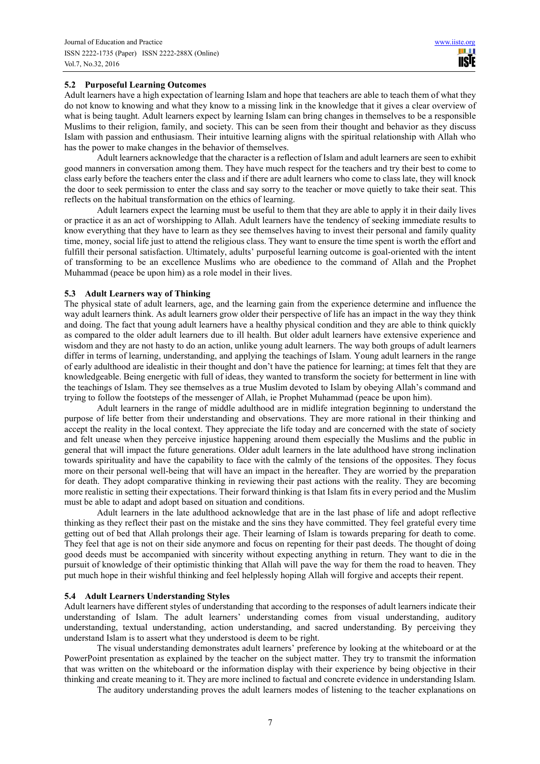**IISIE** 

# **5.2 Purposeful Learning Outcomes**

Adult learners have a high expectation of learning Islam and hope that teachers are able to teach them of what they do not know to knowing and what they know to a missing link in the knowledge that it gives a clear overview of what is being taught. Adult learners expect by learning Islam can bring changes in themselves to be a responsible Muslims to their religion, family, and society. This can be seen from their thought and behavior as they discuss Islam with passion and enthusiasm. Their intuitive learning aligns with the spiritual relationship with Allah who has the power to make changes in the behavior of themselves.

Adult learners acknowledge that the character is a reflection of Islam and adult learners are seen to exhibit good manners in conversation among them. They have much respect for the teachers and try their best to come to class early before the teachers enter the class and if there are adult learners who come to class late, they will knock the door to seek permission to enter the class and say sorry to the teacher or move quietly to take their seat. This reflects on the habitual transformation on the ethics of learning.

Adult learners expect the learning must be useful to them that they are able to apply it in their daily lives or practice it as an act of worshipping to Allah. Adult learners have the tendency of seeking immediate results to know everything that they have to learn as they see themselves having to invest their personal and family quality time, money, social life just to attend the religious class. They want to ensure the time spent is worth the effort and fulfill their personal satisfaction. Ultimately, adults' purposeful learning outcome is goal-oriented with the intent of transforming to be an excellence Muslims who are obedience to the command of Allah and the Prophet Muhammad (peace be upon him) as a role model in their lives.

## **5.3 Adult Learners way of Thinking**

The physical state of adult learners, age, and the learning gain from the experience determine and influence the way adult learners think. As adult learners grow older their perspective of life has an impact in the way they think and doing. The fact that young adult learners have a healthy physical condition and they are able to think quickly as compared to the older adult learners due to ill health. But older adult learners have extensive experience and wisdom and they are not hasty to do an action, unlike young adult learners. The way both groups of adult learners differ in terms of learning, understanding, and applying the teachings of Islam. Young adult learners in the range of early adulthood are idealistic in their thought and don't have the patience for learning; at times felt that they are knowledgeable. Being energetic with full of ideas, they wanted to transform the society for betterment in line with the teachings of Islam. They see themselves as a true Muslim devoted to Islam by obeying Allah's command and trying to follow the footsteps of the messenger of Allah, ie Prophet Muhammad (peace be upon him).

Adult learners in the range of middle adulthood are in midlife integration beginning to understand the purpose of life better from their understanding and observations. They are more rational in their thinking and accept the reality in the local context. They appreciate the life today and are concerned with the state of society and felt unease when they perceive injustice happening around them especially the Muslims and the public in general that will impact the future generations. Older adult learners in the late adulthood have strong inclination towards spirituality and have the capability to face with the calmly of the tensions of the opposites. They focus more on their personal well-being that will have an impact in the hereafter. They are worried by the preparation for death. They adopt comparative thinking in reviewing their past actions with the reality. They are becoming more realistic in setting their expectations. Their forward thinking is that Islam fits in every period and the Muslim must be able to adapt and adopt based on situation and conditions.

Adult learners in the late adulthood acknowledge that are in the last phase of life and adopt reflective thinking as they reflect their past on the mistake and the sins they have committed. They feel grateful every time getting out of bed that Allah prolongs their age. Their learning of Islam is towards preparing for death to come. They feel that age is not on their side anymore and focus on repenting for their past deeds. The thought of doing good deeds must be accompanied with sincerity without expecting anything in return. They want to die in the pursuit of knowledge of their optimistic thinking that Allah will pave the way for them the road to heaven. They put much hope in their wishful thinking and feel helplessly hoping Allah will forgive and accepts their repent.

## **5.4 Adult Learners Understanding Styles**

Adult learners have different styles of understanding that according to the responses of adult learners indicate their understanding of Islam. The adult learners' understanding comes from visual understanding, auditory understanding, textual understanding, action understanding, and sacred understanding. By perceiving they understand Islam is to assert what they understood is deem to be right.

The visual understanding demonstrates adult learners' preference by looking at the whiteboard or at the PowerPoint presentation as explained by the teacher on the subject matter. They try to transmit the information that was written on the whiteboard or the information display with their experience by being objective in their thinking and create meaning to it. They are more inclined to factual and concrete evidence in understanding Islam.

The auditory understanding proves the adult learners modes of listening to the teacher explanations on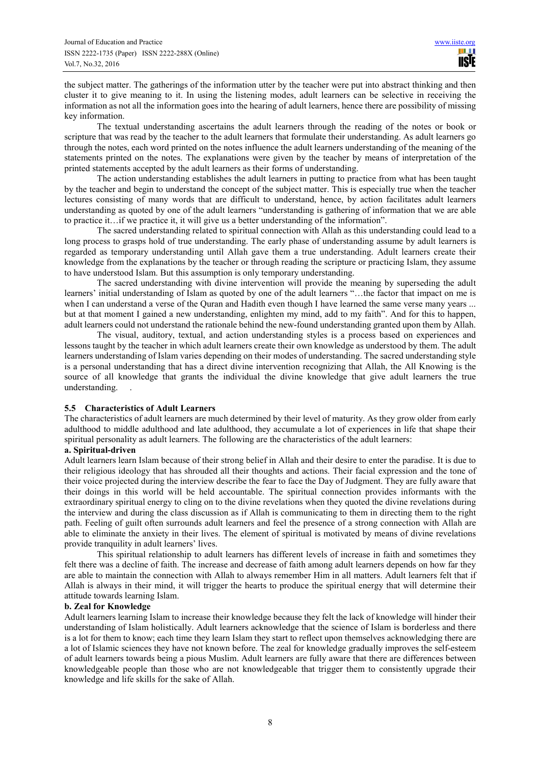the subject matter. The gatherings of the information utter by the teacher were put into abstract thinking and then cluster it to give meaning to it. In using the listening modes, adult learners can be selective in receiving the information as not all the information goes into the hearing of adult learners, hence there are possibility of missing key information.

The textual understanding ascertains the adult learners through the reading of the notes or book or scripture that was read by the teacher to the adult learners that formulate their understanding. As adult learners go through the notes, each word printed on the notes influence the adult learners understanding of the meaning of the statements printed on the notes. The explanations were given by the teacher by means of interpretation of the printed statements accepted by the adult learners as their forms of understanding.

The action understanding establishes the adult learners in putting to practice from what has been taught by the teacher and begin to understand the concept of the subject matter. This is especially true when the teacher lectures consisting of many words that are difficult to understand, hence, by action facilitates adult learners understanding as quoted by one of the adult learners "understanding is gathering of information that we are able to practice it…if we practice it, it will give us a better understanding of the information".

The sacred understanding related to spiritual connection with Allah as this understanding could lead to a long process to grasps hold of true understanding. The early phase of understanding assume by adult learners is regarded as temporary understanding until Allah gave them a true understanding. Adult learners create their knowledge from the explanations by the teacher or through reading the scripture or practicing Islam, they assume to have understood Islam. But this assumption is only temporary understanding.

The sacred understanding with divine intervention will provide the meaning by superseding the adult learners' initial understanding of Islam as quoted by one of the adult learners "…the factor that impact on me is when I can understand a verse of the Ouran and Hadith even though I have learned the same verse many years ... but at that moment I gained a new understanding, enlighten my mind, add to my faith". And for this to happen, adult learners could not understand the rationale behind the new-found understanding granted upon them by Allah.

The visual, auditory, textual, and action understanding styles is a process based on experiences and lessons taught by the teacher in which adult learners create their own knowledge as understood by them. The adult learners understanding of Islam varies depending on their modes of understanding. The sacred understanding style is a personal understanding that has a direct divine intervention recognizing that Allah, the All Knowing is the source of all knowledge that grants the individual the divine knowledge that give adult learners the true understanding. .

# **5.5 Characteristics of Adult Learners**

 The characteristics of adult learners are much determined by their level of maturity. As they grow older from early adulthood to middle adulthood and late adulthood, they accumulate a lot of experiences in life that shape their spiritual personality as adult learners. The following are the characteristics of the adult learners:

## **a. Spiritual-driven**

 Adult learners learn Islam because of their strong belief in Allah and their desire to enter the paradise. It is due to their religious ideology that has shrouded all their thoughts and actions. Their facial expression and the tone of their voice projected during the interview describe the fear to face the Day of Judgment. They are fully aware that their doings in this world will be held accountable. The spiritual connection provides informants with the extraordinary spiritual energy to cling on to the divine revelations when they quoted the divine revelations during the interview and during the class discussion as if Allah is communicating to them in directing them to the right path. Feeling of guilt often surrounds adult learners and feel the presence of a strong connection with Allah are able to eliminate the anxiety in their lives. The element of spiritual is motivated by means of divine revelations provide tranquility in adult learners' lives.

This spiritual relationship to adult learners has different levels of increase in faith and sometimes they felt there was a decline of faith. The increase and decrease of faith among adult learners depends on how far they are able to maintain the connection with Allah to always remember Him in all matters. Adult learners felt that if Allah is always in their mind, it will trigger the hearts to produce the spiritual energy that will determine their attitude towards learning Islam.

## **b. Zeal for Knowledge**

 Adult learners learning Islam to increase their knowledge because they felt the lack of knowledge will hinder their understanding of Islam holistically. Adult learners acknowledge that the science of Islam is borderless and there is a lot for them to know; each time they learn Islam they start to reflect upon themselves acknowledging there are a lot of Islamic sciences they have not known before. The zeal for knowledge gradually improves the self-esteem of adult learners towards being a pious Muslim. Adult learners are fully aware that there are differences between knowledgeable people than those who are not knowledgeable that trigger them to consistently upgrade their knowledge and life skills for the sake of Allah.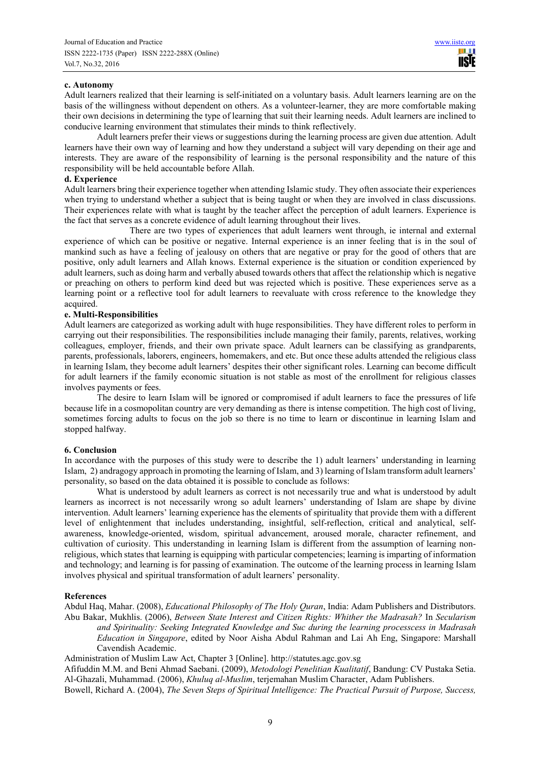## **c. Autonomy**

 Adult learners realized that their learning is self-initiated on a voluntary basis. Adult learners learning are on the basis of the willingness without dependent on others. As a volunteer-learner, they are more comfortable making their own decisions in determining the type of learning that suit their learning needs. Adult learners are inclined to conducive learning environment that stimulates their minds to think reflectively.

Adult learners prefer their views or suggestions during the learning process are given due attention. Adult learners have their own way of learning and how they understand a subject will vary depending on their age and interests. They are aware of the responsibility of learning is the personal responsibility and the nature of this responsibility will be held accountable before Allah.

## **d. Experience**

 Adult learners bring their experience together when attending Islamic study. They often associate their experiences when trying to understand whether a subject that is being taught or when they are involved in class discussions. Their experiences relate with what is taught by the teacher affect the perception of adult learners. Experience is the fact that serves as a concrete evidence of adult learning throughout their lives.

 There are two types of experiences that adult learners went through, ie internal and external experience of which can be positive or negative. Internal experience is an inner feeling that is in the soul of mankind such as have a feeling of jealousy on others that are negative or pray for the good of others that are positive, only adult learners and Allah knows. External experience is the situation or condition experienced by adult learners, such as doing harm and verbally abused towards others that affect the relationship which is negative or preaching on others to perform kind deed but was rejected which is positive. These experiences serve as a learning point or a reflective tool for adult learners to reevaluate with cross reference to the knowledge they acquired.

## **e. Multi-Responsibilities**

 Adult learners are categorized as working adult with huge responsibilities. They have different roles to perform in carrying out their responsibilities. The responsibilities include managing their family, parents, relatives, working colleagues, employer, friends, and their own private space. Adult learners can be classifying as grandparents, parents, professionals, laborers, engineers, homemakers, and etc. But once these adults attended the religious class in learning Islam, they become adult learners' despites their other significant roles. Learning can become difficult for adult learners if the family economic situation is not stable as most of the enrollment for religious classes involves payments or fees.

The desire to learn Islam will be ignored or compromised if adult learners to face the pressures of life because life in a cosmopolitan country are very demanding as there is intense competition. The high cost of living, sometimes forcing adults to focus on the job so there is no time to learn or discontinue in learning Islam and stopped halfway.

# **6. Conclusion**

In accordance with the purposes of this study were to describe the 1) adult learners' understanding in learning Islam, 2) andragogy approach in promoting the learning of Islam, and 3) learning of Islam transform adult learners' personality, so based on the data obtained it is possible to conclude as follows:

What is understood by adult learners as correct is not necessarily true and what is understood by adult learners as incorrect is not necessarily wrong so adult learners' understanding of Islam are shape by divine intervention. Adult learners' learning experience has the elements of spirituality that provide them with a different level of enlightenment that includes understanding, insightful, self-reflection, critical and analytical, selfawareness, knowledge-oriented, wisdom, spiritual advancement, aroused morale, character refinement, and cultivation of curiosity. This understanding in learning Islam is different from the assumption of learning nonreligious, which states that learning is equipping with particular competencies; learning is imparting of information and technology; and learning is for passing of examination. The outcome of the learning process in learning Islam involves physical and spiritual transformation of adult learners' personality.

# **References**

Abdul Haq, Mahar. (2008), *Educational Philosophy of The Holy Quran*, India: Adam Publishers and Distributors. Abu Bakar, Mukhlis. (2006), *Between State Interest and Citizen Rights: Whither the Madrasah?* In *Secularism and Spirituality: Seeking Integrated Knowledge and Suc during the learning processcess in Madrasah Education in Singapore*, edited by Noor Aisha Abdul Rahman and Lai Ah Eng, Singapore: Marshall Cavendish Academic.

Administration of Muslim Law Act, Chapter 3 [Online]. http://statutes.agc.gov.sg

Afifuddin M.M. and Beni Ahmad Saebani. (2009), *Metodologi Penelitian Kualitatif*, Bandung: CV Pustaka Setia. Al-Ghazali, Muhammad. (2006), *Khuluq al-Muslim*, terjemahan Muslim Character, Adam Publishers.

Bowell, Richard A. (2004), *The Seven Steps of Spiritual Intelligence: The Practical Pursuit of Purpose, Success,*